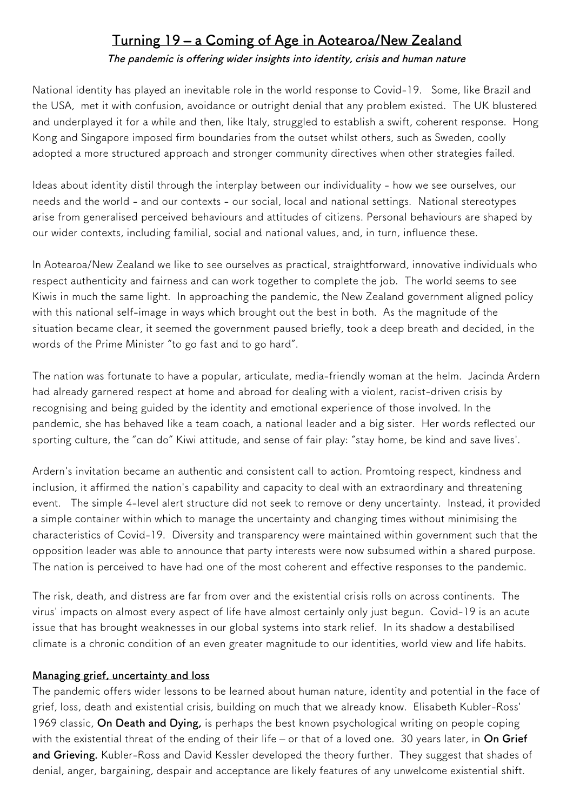## **Turning 19 – a Coming of Age in Aotearoa/New Zealand**

**The pandemic is offering wider insights into identity, crisis and human nature**

National identity has played an inevitable role in the world response to Covid-19. Some, like Brazil and the USA, met it with confusion, avoidance or outright denial that any problem existed. The UK blustered and underplayed it for a while and then, like Italy, struggled to establish a swift, coherent response. Hong Kong and Singapore imposed frm boundaries from the outset whilst others, such as Sweden, coolly adopted a more structured approach and stronger community directives when other strategies failed.

Ideas about identity distil through the interplay between our individuality - how we see ourselves, our needs and the world - and our contexts - our social, local and national settings. National stereotypes arise from generalised perceived behaviours and attitudes of citizens. Personal behaviours are shaped by our wider contexts, including familial, social and national values, and, in turn, infuence these.

In Aotearoa/New Zealand we like to see ourselves as practical, straightforward, innovative individuals who respect authenticity and fairness and can work together to complete the job. The world seems to see Kiwis in much the same light. In approaching the pandemic, the New Zealand government aligned policy with this national self-image in ways which brought out the best in both. As the magnitude of the situation became clear, it seemed the government paused briefy, took a deep breath and decided, in the words of the Prime Minister "to go fast and to go hard".

The nation was fortunate to have a popular, articulate, media-friendly woman at the helm. Jacinda Ardern had already garnered respect at home and abroad for dealing with a violent, racist-driven crisis by recognising and being guided by the identity and emotional experience of those involved. In the pandemic, she has behaved like a team coach, a national leader and a big sister. Her words refected our sporting culture, the "can do" Kiwi attitude, and sense of fair play: "stay home, be kind and save lives'.

Ardern's invitation became an authentic and consistent call to action. Promtoing respect, kindness and inclusion, it affrmed the nation's capability and capacity to deal with an extraordinary and threatening event. The simple 4-level alert structure did not seek to remove or deny uncertainty. Instead, it provided a simple container within which to manage the uncertainty and changing times without minimising the characteristics of Covid-19. Diversity and transparency were maintained within government such that the opposition leader was able to announce that party interests were now subsumed within a shared purpose. The nation is perceived to have had one of the most coherent and effective responses to the pandemic.

The risk, death, and distress are far from over and the existential crisis rolls on across continents. The virus' impacts on almost every aspect of life have almost certainly only just begun. Covid-19 is an acute issue that has brought weaknesses in our global systems into stark relief. In its shadow a destabilised climate is a chronic condition of an even greater magnitude to our identities, world view and life habits.

## **Managing grief, uncertainty and loss**

The pandemic offers wider lessons to be learned about human nature, identity and potential in the face of grief, loss, death and existential crisis, building on much that we already know. Elisabeth Kubler-Ross' 1969 classic, **On Death and Dying,** is perhaps the best known psychological writing on people coping with the existential threat of the ending of their life – or that of a loved one. 30 years later, in **On Grief and Grieving.** Kubler-Ross and David Kessler developed the theory further. They suggest that shades of denial, anger, bargaining, despair and acceptance are likely features of any unwelcome existential shift.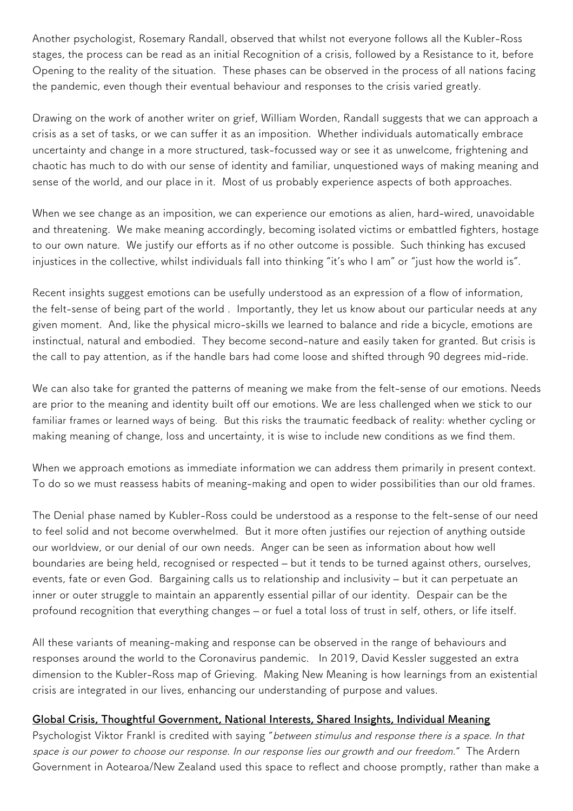Another psychologist, Rosemary Randall, observed that whilst not everyone follows all the Kubler-Ross stages, the process can be read as an initial Recognition of a crisis, followed by a Resistance to it, before Opening to the reality of the situation. These phases can be observed in the process of all nations facing the pandemic, even though their eventual behaviour and responses to the crisis varied greatly.

Drawing on the work of another writer on grief, William Worden, Randall suggests that we can approach a crisis as a set of tasks, or we can suffer it as an imposition. Whether individuals automatically embrace uncertainty and change in a more structured, task-focussed way or see it as unwelcome, frightening and chaotic has much to do with our sense of identity and familiar, unquestioned ways of making meaning and sense of the world, and our place in it. Most of us probably experience aspects of both approaches.

When we see change as an imposition, we can experience our emotions as alien, hard-wired, unavoidable and threatening. We make meaning accordingly, becoming isolated victims or embattled fighters, hostage to our own nature. We justify our efforts as if no other outcome is possible. Such thinking has excused injustices in the collective, whilst individuals fall into thinking "it's who I am" or "just how the world is".

Recent insights suggest emotions can be usefully understood as an expression of a flow of information, the felt-sense of being part of the world . Importantly, they let us know about our particular needs at any given moment. And, like the physical micro-skills we learned to balance and ride a bicycle, emotions are instinctual, natural and embodied. They become second-nature and easily taken for granted. But crisis is the call to pay attention, as if the handle bars had come loose and shifted through 90 degrees mid-ride.

We can also take for granted the patterns of meaning we make from the felt-sense of our emotions. Needs are prior to the meaning and identity built off our emotions. We are less challenged when we stick to our familiar frames or learned ways of being. But this risks the traumatic feedback of reality: whether cycling or making meaning of change, loss and uncertainty, it is wise to include new conditions as we fnd them.

When we approach emotions as immediate information we can address them primarily in present context. To do so we must reassess habits of meaning-making and open to wider possibilities than our old frames.

The Denial phase named by Kubler-Ross could be understood as a response to the felt-sense of our need to feel solid and not become overwhelmed. But it more often justifes our rejection of anything outside our worldview, or our denial of our own needs. Anger can be seen as information about how well boundaries are being held, recognised or respected – but it tends to be turned against others, ourselves, events, fate or even God. Bargaining calls us to relationship and inclusivity – but it can perpetuate an inner or outer struggle to maintain an apparently essential pillar of our identity. Despair can be the profound recognition that everything changes – or fuel a total loss of trust in self, others, or life itself.

All these variants of meaning-making and response can be observed in the range of behaviours and responses around the world to the Coronavirus pandemic. In 2019, David Kessler suggested an extra dimension to the Kubler-Ross map of Grieving. Making New Meaning is how learnings from an existential crisis are integrated in our lives, enhancing our understanding of purpose and values.

## **Global Crisis, Thoughtful Government, National Interests, Shared Insights, Individual Meaning**

Psychologist Viktor Frankl is credited with saying "between stimulus and response there is a space. In that space is our power to choose our response. In our response lies our growth and our freedom." The Ardern Government in Aotearoa/New Zealand used this space to refect and choose promptly, rather than make a